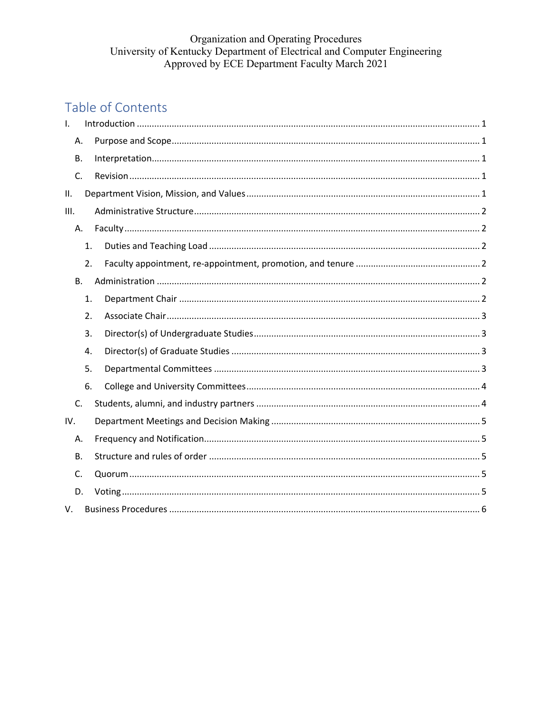# Organization and Operating Procedures<br>University of Kentucky Department of Electrical and Computer Engineering Approved by ECE Department Faculty March 2021

# Table of Contents

| $\mathsf{L}$ |    |  |
|--------------|----|--|
| Α.           |    |  |
| В.           |    |  |
| C.           |    |  |
| II.          |    |  |
| III.         |    |  |
| Α.           |    |  |
|              | 1. |  |
|              | 2. |  |
| <b>B.</b>    |    |  |
|              | 1. |  |
|              | 2. |  |
|              | 3. |  |
|              | 4. |  |
|              | 5. |  |
|              | 6. |  |
| C.           |    |  |
| IV.          |    |  |
| Α.           |    |  |
| <b>B.</b>    |    |  |
| C.           |    |  |
| D.           |    |  |
| V.           |    |  |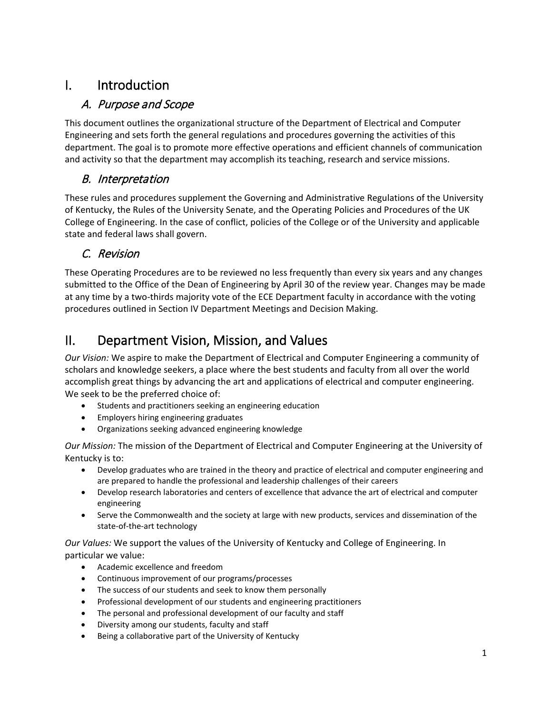# <span id="page-1-0"></span>I. Introduction

#### <span id="page-1-1"></span>A. Purpose and Scope

This document outlines the organizational structure of the Department of Electrical and Computer Engineering and sets forth the general regulations and procedures governing the activities of this department. The goal is to promote more effective operations and efficient channels of communication and activity so that the department may accomplish its teaching, research and service missions.

#### <span id="page-1-2"></span>B. Interpretation

These rules and procedures supplement the Governing and Administrative Regulations of the University of Kentucky, the Rules of the University Senate, and the Operating Policies and Procedures of the UK College of Engineering. In the case of conflict, policies of the College or of the University and applicable state and federal laws shall govern.

# <span id="page-1-3"></span>C. Revision

These Operating Procedures are to be reviewed no less frequently than every six years and any changes submitted to the Office of the Dean of Engineering by April 30 of the review year. Changes may be made at any time by a two-thirds majority vote of the ECE Department faculty in accordance with the voting procedures outlined in Section [IV](#page-5-0) [Department Meetings and Decision Making.](#page-5-0)

# <span id="page-1-4"></span>II. Department Vision, Mission, and Values

*Our Vision:* We aspire to make the Department of Electrical and Computer Engineering a community of scholars and knowledge seekers, a place where the best students and faculty from all over the world accomplish great things by advancing the art and applications of electrical and computer engineering. We seek to be the preferred choice of:

- Students and practitioners seeking an engineering education
- Employers hiring engineering graduates
- Organizations seeking advanced engineering knowledge

*Our Mission:* The mission of the Department of Electrical and Computer Engineering at the University of Kentucky is to:

- Develop graduates who are trained in the theory and practice of electrical and computer engineering and are prepared to handle the professional and leadership challenges of their careers
- Develop research laboratories and centers of excellence that advance the art of electrical and computer engineering
- Serve the Commonwealth and the society at large with new products, services and dissemination of the state-of-the-art technology

*Our Values:* We support the values of the University of Kentucky and College of Engineering. In particular we value:

- Academic excellence and freedom
- Continuous improvement of our programs/processes
- The success of our students and seek to know them personally
- Professional development of our students and engineering practitioners
- The personal and professional development of our faculty and staff
- Diversity among our students, faculty and staff
- Being a collaborative part of the University of Kentucky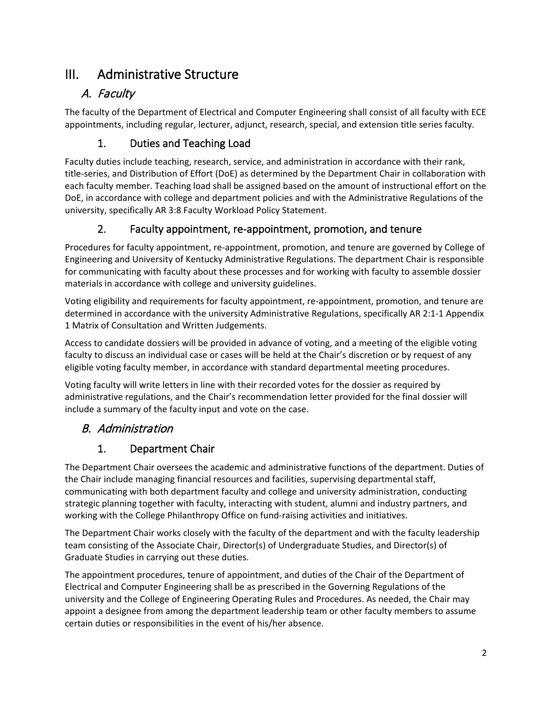# <span id="page-2-0"></span>III. Administrative Structure

# <span id="page-2-1"></span>A. Faculty

The faculty of the Department of Electrical and Computer Engineering shall consist of all faculty with ECE appointments, including regular, lecturer, adjunct, research, special, and extension title series faculty.

#### 1. Duties and Teaching Load

<span id="page-2-2"></span>Faculty duties include teaching, research, service, and administration in accordance with their rank, title-series, and Distribution of Effort (DoE) as determined by the Department Chair in collaboration with each faculty member. Teaching load shall be assigned based on the amount of instructional effort on the DoE, in accordance with college and department policies and with the Administrative Regulations of the university, specifically AR 3:8 Faculty Workload Policy Statement.

### 2. Faculty appointment, re-appointment, promotion, and tenure

<span id="page-2-3"></span>Procedures for faculty appointment, re-appointment, promotion, and tenure are governed by College of Engineering and University of Kentucky Administrative Regulations. The department Chair is responsible for communicating with faculty about these processes and for working with faculty to assemble dossier materials in accordance with college and university guidelines.

Voting eligibility and requirements for faculty appointment, re-appointment, promotion, and tenure are determined in accordance with the university Administrative Regulations, specifically AR 2:1-1 Appendix 1 Matrix of Consultation and Written Judgements.

Access to candidate dossiers will be provided in advance of voting, and a meeting of the eligible voting faculty to discuss an individual case or cases will be held at the Chair's discretion or by request of any eligible voting faculty member, in accordance with standard departmental meeting procedures.

Voting faculty will write letters in line with their recorded votes for the dossier as required by administrative regulations, and the Chair's recommendation letter provided for the final dossier will include a summary of the faculty input and vote on the case.

# <span id="page-2-4"></span>B. Administration

# 1. Department Chair

<span id="page-2-5"></span>The Department Chair oversees the academic and administrative functions of the department. Duties of the Chair include managing financial resources and facilities, supervising departmental staff, communicating with both department faculty and college and university administration, conducting strategic planning together with faculty, interacting with student, alumni and industry partners, and working with the College Philanthropy Office on fund-raising activities and initiatives.

The Department Chair works closely with the faculty of the department and with the faculty leadership team consisting of the Associate Chair, Director(s) of Undergraduate Studies, and Director(s) of Graduate Studies in carrying out these duties.

The appointment procedures, tenure of appointment, and duties of the Chair of the Department of Electrical and Computer Engineering shall be as prescribed in the Governing Regulations of the university and the College of Engineering Operating Rules and Procedures. As needed, the Chair may appoint a designee from among the department leadership team or other faculty members to assume certain duties or responsibilities in the event of his/her absence.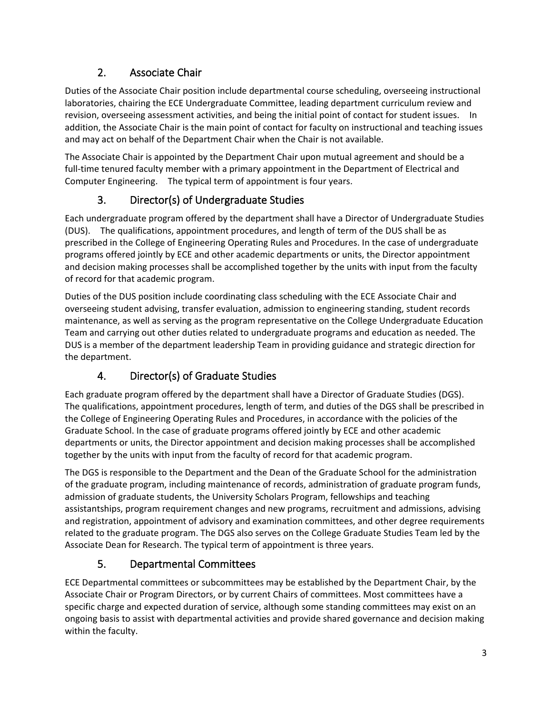### 2. Associate Chair

<span id="page-3-0"></span>Duties of the Associate Chair position include departmental course scheduling, overseeing instructional laboratories, chairing the ECE Undergraduate Committee, leading department curriculum review and revision, overseeing assessment activities, and being the initial point of contact for student issues. In addition, the Associate Chair is the main point of contact for faculty on instructional and teaching issues and may act on behalf of the Department Chair when the Chair is not available.

The Associate Chair is appointed by the Department Chair upon mutual agreement and should be a full-time tenured faculty member with a primary appointment in the Department of Electrical and Computer Engineering. The typical term of appointment is four years.

# 3. Director(s) of Undergraduate Studies

<span id="page-3-1"></span>Each undergraduate program offered by the department shall have a Director of Undergraduate Studies (DUS). The qualifications, appointment procedures, and length of term of the DUS shall be as prescribed in the College of Engineering Operating Rules and Procedures. In the case of undergraduate programs offered jointly by ECE and other academic departments or units, the Director appointment and decision making processes shall be accomplished together by the units with input from the faculty of record for that academic program.

Duties of the DUS position include coordinating class scheduling with the ECE Associate Chair and overseeing student advising, transfer evaluation, admission to engineering standing, student records maintenance, as well as serving as the program representative on the College Undergraduate Education Team and carrying out other duties related to undergraduate programs and education as needed. The DUS is a member of the department leadership Team in providing guidance and strategic direction for the department.

# 4. Director(s) of Graduate Studies

<span id="page-3-2"></span>Each graduate program offered by the department shall have a Director of Graduate Studies (DGS). The qualifications, appointment procedures, length of term, and duties of the DGS shall be prescribed in the College of Engineering Operating Rules and Procedures, in accordance with the policies of the Graduate School. In the case of graduate programs offered jointly by ECE and other academic departments or units, the Director appointment and decision making processes shall be accomplished together by the units with input from the faculty of record for that academic program.

The DGS is responsible to the Department and the Dean of the Graduate School for the administration of the graduate program, including maintenance of records, administration of graduate program funds, admission of graduate students, the University Scholars Program, fellowships and teaching assistantships, program requirement changes and new programs, recruitment and admissions, advising and registration, appointment of advisory and examination committees, and other degree requirements related to the graduate program. The DGS also serves on the College Graduate Studies Team led by the Associate Dean for Research. The typical term of appointment is three years.

# 5. Departmental Committees

<span id="page-3-3"></span>ECE Departmental committees or subcommittees may be established by the Department Chair, by the Associate Chair or Program Directors, or by current Chairs of committees. Most committees have a specific charge and expected duration of service, although some standing committees may exist on an ongoing basis to assist with departmental activities and provide shared governance and decision making within the faculty.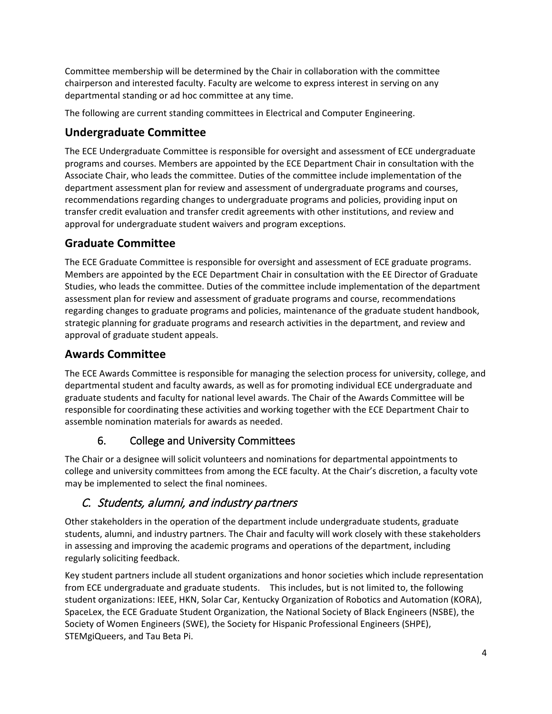Committee membership will be determined by the Chair in collaboration with the committee chairperson and interested faculty. Faculty are welcome to express interest in serving on any departmental standing or ad hoc committee at any time.

The following are current standing committees in Electrical and Computer Engineering.

#### **Undergraduate Committee**

The ECE Undergraduate Committee is responsible for oversight and assessment of ECE undergraduate programs and courses. Members are appointed by the ECE Department Chair in consultation with the Associate Chair, who leads the committee. Duties of the committee include implementation of the department assessment plan for review and assessment of undergraduate programs and courses, recommendations regarding changes to undergraduate programs and policies, providing input on transfer credit evaluation and transfer credit agreements with other institutions, and review and approval for undergraduate student waivers and program exceptions.

#### **Graduate Committee**

The ECE Graduate Committee is responsible for oversight and assessment of ECE graduate programs. Members are appointed by the ECE Department Chair in consultation with the EE Director of Graduate Studies, who leads the committee. Duties of the committee include implementation of the department assessment plan for review and assessment of graduate programs and course, recommendations regarding changes to graduate programs and policies, maintenance of the graduate student handbook, strategic planning for graduate programs and research activities in the department, and review and approval of graduate student appeals.

#### **Awards Committee**

The ECE Awards Committee is responsible for managing the selection process for university, college, and departmental student and faculty awards, as well as for promoting individual ECE undergraduate and graduate students and faculty for national level awards. The Chair of the Awards Committee will be responsible for coordinating these activities and working together with the ECE Department Chair to assemble nomination materials for awards as needed.

#### 6. College and University Committees

<span id="page-4-0"></span>The Chair or a designee will solicit volunteers and nominations for departmental appointments to college and university committees from among the ECE faculty. At the Chair's discretion, a faculty vote may be implemented to select the final nominees.

#### <span id="page-4-1"></span>C. Students, alumni, and industry partners

Other stakeholders in the operation of the department include undergraduate students, graduate students, alumni, and industry partners. The Chair and faculty will work closely with these stakeholders in assessing and improving the academic programs and operations of the department, including regularly soliciting feedback.

Key student partners include all student organizations and honor societies which include representation from ECE undergraduate and graduate students. This includes, but is not limited to, the following student organizations: IEEE, HKN, Solar Car, Kentucky Organization of Robotics and Automation (KORA), SpaceLex, the ECE Graduate Student Organization, the National Society of Black Engineers (NSBE), the Society of Women Engineers (SWE), the Society for Hispanic Professional Engineers (SHPE), STEMgiQueers, and Tau Beta Pi.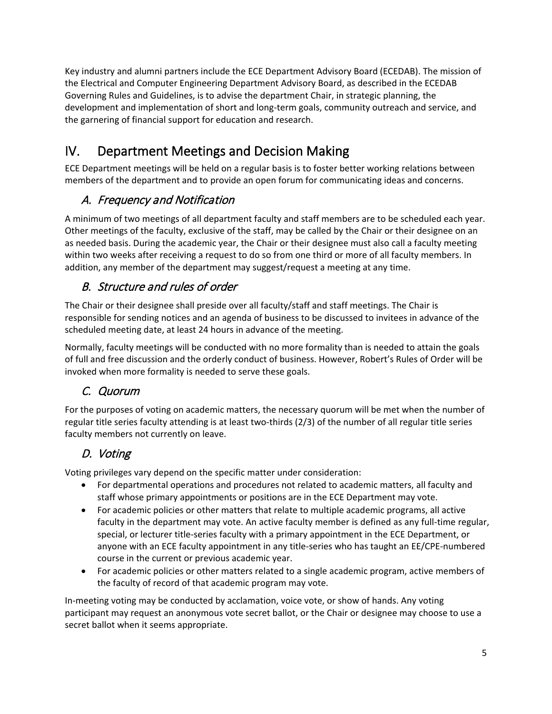Key industry and alumni partners include the ECE Department Advisory Board (ECEDAB). The mission of the Electrical and Computer Engineering Department Advisory Board, as described in the ECEDAB Governing Rules and Guidelines, is to advise the department Chair, in strategic planning, the development and implementation of short and long-term goals, community outreach and service, and the garnering of financial support for education and research.

# <span id="page-5-0"></span>IV. Department Meetings and Decision Making

ECE Department meetings will be held on a regular basis is to foster better working relations between members of the department and to provide an open forum for communicating ideas and concerns.

### <span id="page-5-1"></span>A. Frequency and Notification

A minimum of two meetings of all department faculty and staff members are to be scheduled each year. Other meetings of the faculty, exclusive of the staff, may be called by the Chair or their designee on an as needed basis. During the academic year, the Chair or their designee must also call a faculty meeting within two weeks after receiving a request to do so from one third or more of all faculty members. In addition, any member of the department may suggest/request a meeting at any time.

# <span id="page-5-2"></span>B. Structure and rules of order

The Chair or their designee shall preside over all faculty/staff and staff meetings. The Chair is responsible for sending notices and an agenda of business to be discussed to invitees in advance of the scheduled meeting date, at least 24 hours in advance of the meeting.

Normally, faculty meetings will be conducted with no more formality than is needed to attain the goals of full and free discussion and the orderly conduct of business. However, Robert's Rules of Order will be invoked when more formality is needed to serve these goals.

#### <span id="page-5-3"></span>C. Quorum

For the purposes of voting on academic matters, the necessary quorum will be met when the number of regular title series faculty attending is at least two-thirds (2/3) of the number of all regular title series faculty members not currently on leave.

# <span id="page-5-4"></span>D. Voting

Voting privileges vary depend on the specific matter under consideration:

- For departmental operations and procedures not related to academic matters, all faculty and staff whose primary appointments or positions are in the ECE Department may vote.
- For academic policies or other matters that relate to multiple academic programs, all active faculty in the department may vote. An active faculty member is defined as any full-time regular, special, or lecturer title-series faculty with a primary appointment in the ECE Department, or anyone with an ECE faculty appointment in any title-series who has taught an EE/CPE-numbered course in the current or previous academic year.
- For academic policies or other matters related to a single academic program, active members of the faculty of record of that academic program may vote.

In-meeting voting may be conducted by acclamation, voice vote, or show of hands. Any voting participant may request an anonymous vote secret ballot, or the Chair or designee may choose to use a secret ballot when it seems appropriate.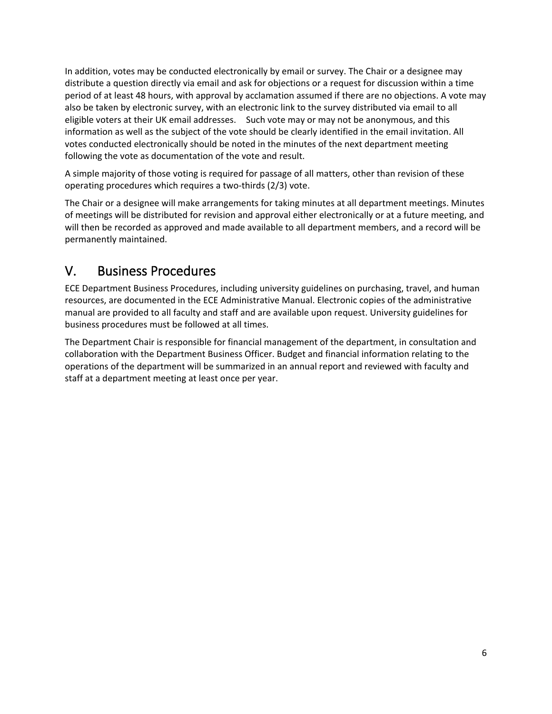In addition, votes may be conducted electronically by email or survey. The Chair or a designee may distribute a question directly via email and ask for objections or a request for discussion within a time period of at least 48 hours, with approval by acclamation assumed if there are no objections. A vote may also be taken by electronic survey, with an electronic link to the survey distributed via email to all eligible voters at their UK email addresses. Such vote may or may not be anonymous, and this information as well as the subject of the vote should be clearly identified in the email invitation. All votes conducted electronically should be noted in the minutes of the next department meeting following the vote as documentation of the vote and result.

A simple majority of those voting is required for passage of all matters, other than revision of these operating procedures which requires a two-thirds (2/3) vote.

The Chair or a designee will make arrangements for taking minutes at all department meetings. Minutes of meetings will be distributed for revision and approval either electronically or at a future meeting, and will then be recorded as approved and made available to all department members, and a record will be permanently maintained.

# <span id="page-6-0"></span>V. Business Procedures

ECE Department Business Procedures, including university guidelines on purchasing, travel, and human resources, are documented in the ECE Administrative Manual. Electronic copies of the administrative manual are provided to all faculty and staff and are available upon request. University guidelines for business procedures must be followed at all times.

The Department Chair is responsible for financial management of the department, in consultation and collaboration with the Department Business Officer. Budget and financial information relating to the operations of the department will be summarized in an annual report and reviewed with faculty and staff at a department meeting at least once per year.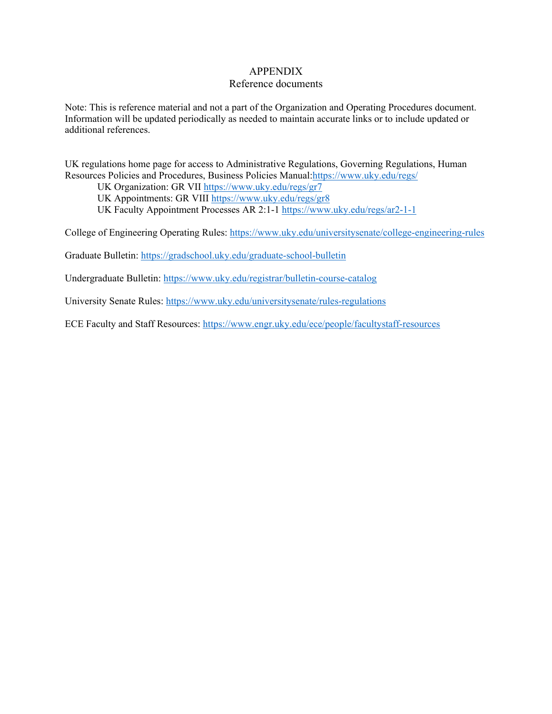#### APPENDIX

#### Reference documents

Note: This is reference material and not a part of the Organization and Operating Procedures document. Information will be updated periodically as needed to maintain accurate links or to include updated or additional references.

UK regulations home page for access to Administrative Regulations, Governing Regulations, Human Resources Policies and Procedures, Business Policies Manual[:https://www.uky.edu/regs/](https://www.uky.edu/regs/)

UK Organization: GR VII<https://www.uky.edu/regs/gr7>

UK Appointments: GR VIII<https://www.uky.edu/regs/gr8>

UK Faculty Appointment Processes AR 2:1-1<https://www.uky.edu/regs/ar2-1-1>

College of Engineering Operating Rules:<https://www.uky.edu/universitysenate/college-engineering-rules>

Graduate Bulletin:<https://gradschool.uky.edu/graduate-school-bulletin>

Undergraduate Bulletin:<https://www.uky.edu/registrar/bulletin-course-catalog>

University Senate Rules:<https://www.uky.edu/universitysenate/rules-regulations>

ECE Faculty and Staff Resources:<https://www.engr.uky.edu/ece/people/facultystaff-resources>